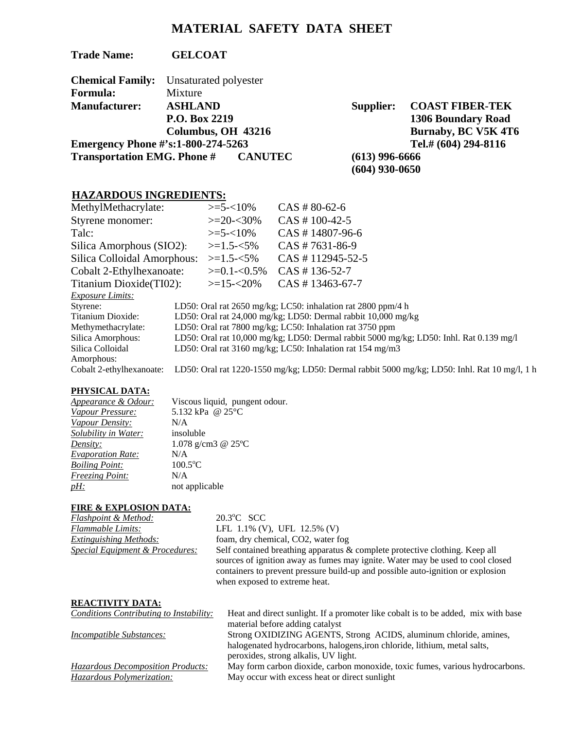# **MATERIAL SAFETY DATA SHEET**

**Trade Name: GELCOAT** 

|                                           | <b>Chemical Family:</b> Unsaturated polyester |  |
|-------------------------------------------|-----------------------------------------------|--|
| Formula:                                  | Mixture                                       |  |
| <b>Manufacturer:</b>                      | <b>ASHLAND</b>                                |  |
|                                           | P.O. Box 2219                                 |  |
|                                           | Columbus, OH 43216                            |  |
| <b>Emergency Phone #'s:1-800-274-5263</b> |                                               |  |
|                                           | <b>Transportation EMG. Phone # CANUTEC</b>    |  |

**Supplier: COAST FIBER-TEK 1306 Boundary Road Burnaby, BC V5K 4T6 Emergency 294-8116**<br>C (613) 996-6666 **(613) 996-6666 (604) 930-0650** 

# **HAZARDOUS INGREDIENTS:**

| MethylMethacrylate:         | $\geq 5 - 10\%$ | $CAS # 80-62-6$                                                                              |
|-----------------------------|-----------------|----------------------------------------------------------------------------------------------|
| Styrene monomer:            | $>=20-30%$      | $CAS # 100-42-5$                                                                             |
| Talc:                       | $\geq 5 - 10\%$ | $CAS # 14807-96-6$                                                                           |
| Silica Amorphous (SIO2):    | $>=1.5 - 5\%$   | $CAS # 7631-86-9$                                                                            |
| Silica Colloidal Amorphous: | $> = 1.5 - 5\%$ | $CAS # 112945-52-5$                                                                          |
| Cobalt 2-Ethylhexanoate:    | $>=0.1 - 0.5\%$ | $CAS # 136-52-7$                                                                             |
| Titanium Dioxide (TI02):    | $>=15 - 20\%$   | $CAS # 13463-67-7$                                                                           |
| <b>Exposure Limits:</b>     |                 |                                                                                              |
| Styrene:                    |                 | LD50: Oral rat 2650 mg/kg; LC50: inhalation rat 2800 ppm/4 h                                 |
| Titanium Dioxide:           |                 | LD50: Oral rat 24,000 mg/kg; LD50: Dermal rabbit 10,000 mg/kg                                |
| Methymethacrylate:          |                 | LD50: Oral rat 7800 mg/kg; LC50: Inhalation rat 3750 ppm                                     |
| Silica Amorphous:           |                 | LD50: Oral rat 10,000 mg/kg; LD50: Dermal rabbit 5000 mg/kg; LD50: Inhl. Rat 0.139 mg/l      |
| Silica Colloidal            |                 | LD50: Oral rat 3160 mg/kg; LC50: Inhalation rat 154 mg/m3                                    |
| Amorphous:                  |                 |                                                                                              |
| Cobalt 2-ethylhexanoate:    |                 | LD50: Oral rat 1220-1550 mg/kg; LD50: Dermal rabbit 5000 mg/kg; LD50: Inhl. Rat 10 mg/l, 1 h |

## **PHYSICAL DATA:**

| Appearance & Odour:      | Viscous liquid, pungent odour. |
|--------------------------|--------------------------------|
| Vapour Pressure:         | 5.132 kPa @ 25°C               |
| Vapour Density:          | N/A                            |
| Solubility in Water:     | insoluble                      |
| Density:                 | 1.078 g/cm3 @ $25^{\circ}$ C   |
| <b>Evaporation Rate:</b> | N/A                            |
| <b>Boiling Point:</b>    | $100.5$ °C                     |
| <b>Freezing Point:</b>   | N/A                            |
| <u>pH:</u>               | not applicable                 |

### **FIRE & EXPLOSION DATA:**

| Flashpoint & Method:                       | $20.3^{\circ}$ C SCC                                                                                                                                                                                                                                                              |
|--------------------------------------------|-----------------------------------------------------------------------------------------------------------------------------------------------------------------------------------------------------------------------------------------------------------------------------------|
| Flammable Limits:                          | LFL $1.1\%$ (V), UFL $12.5\%$ (V)                                                                                                                                                                                                                                                 |
| <b>Extinguishing Methods:</b>              | foam, dry chemical, CO2, water fog                                                                                                                                                                                                                                                |
| <u>Special Equipment &amp; Procedures:</u> | Self contained breathing apparatus & complete protective clothing. Keep all<br>sources of ignition away as fumes may ignite. Water may be used to cool closed<br>containers to prevent pressure build-up and possible auto-ignition or explosion<br>when exposed to extreme heat. |

### **REACTIVITY DATA:**

| <b>Conditions Contributing to Instability:</b> | Heat and direct sunlight. If a promoter like cobalt is to be added, mix with base |
|------------------------------------------------|-----------------------------------------------------------------------------------|
|                                                | material before adding catalyst                                                   |
| <b>Incompatible Substances:</b>                | Strong OXIDIZING AGENTS, Strong ACIDS, aluminum chloride, amines,                 |
|                                                | halogenated hydrocarbons, halogens, iron chloride, lithium, metal salts,          |
|                                                | peroxides, strong alkalis, UV light.                                              |
| <b>Hazardous Decomposition Products:</b>       | May form carbon dioxide, carbon monoxide, toxic fumes, various hydrocarbons.      |
| <i>Hazardous Polymerization:</i>               | May occur with excess heat or direct sunlight                                     |